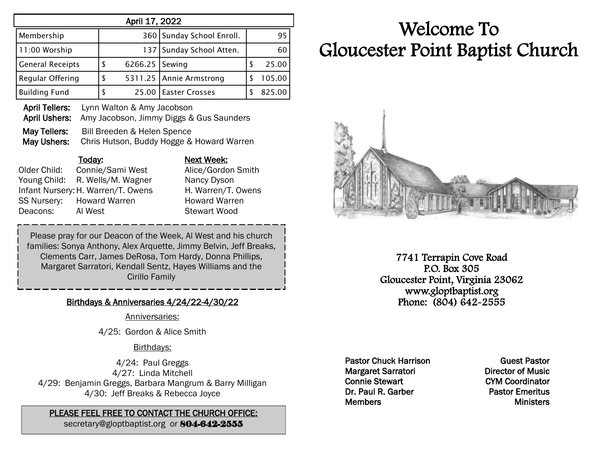| April 17, 2022          |   |                |                           |   |        |  |  |
|-------------------------|---|----------------|---------------------------|---|--------|--|--|
| Membership              |   |                | 360 Sunday School Enroll. |   | 95     |  |  |
| 11:00 Worship           |   |                | 137 Sunday School Atten.  |   | 60     |  |  |
| <b>General Receipts</b> | S | 6266.25 Sewing |                           | S | 25.00  |  |  |
| Regular Offering        |   |                | 5311.25   Annie Armstrong |   | 105.00 |  |  |
| <b>Building Fund</b>    |   | 25.00          | <b>Easter Crosses</b>     |   | 825.00 |  |  |

April Tellers: Lynn Walton & Amy Jacobson April Ushers: Amy Jacobson, Jimmy Diggs & Gus Saunders May Tellers: Bill Breeden & Helen Spence May Ushers: Chris Hutson, Buddy Hogge & Howard Warren

Today: Next Week: Older Child: Connie/Sami West Alice/Gordon Smith Young Child: R. Wells/M. Wagner Nancy Dyson Infant Nursery: H. Warren/T. Owens H. Warren/T. Owens SS Nursery: Howard Warren **Howard Warren** Deacons: Al West Stewart Wood

Please pray for our Deacon of the Week, Al West and his church families: Sonya Anthony, Alex Arquette, Jimmy Belvin, Jeff Breaks, Clements Carr, James DeRosa, Tom Hardy, Donna Phillips, Margaret Sarratori, Kendall Sentz, Hayes Williams and the Cirillo Family

#### Birthdays & Anniversaries 4/24/22-4/30/22

Anniversaries:

4/25: Gordon & Alice Smith

### Birthdays:

4/24: Paul Greggs 4/27: Linda Mitchell 4/29: Benjamin Greggs, Barbara Mangrum & Barry Milligan 4/30: Jeff Breaks & Rebecca Joyce

## PLEASE FEEL FREE TO CONTACT THE CHURCH OFFICE:

secretary@gloptbaptist.org or 804-642-2555

# Welcome To Gloucester Point Baptist Church



7741 Terrapin Cove Road P.O. Box 305 Gloucester Point, Virginia 23062 www.gloptbaptist.org Phone: (804) 642-2555

Pastor Chuck Harrison Margaret Sarratori Connie Stewart Dr. Paul R. Garber **Members** 

Guest Pastor Director of Music CYM Coordinator Pastor Emeritus **Ministers**